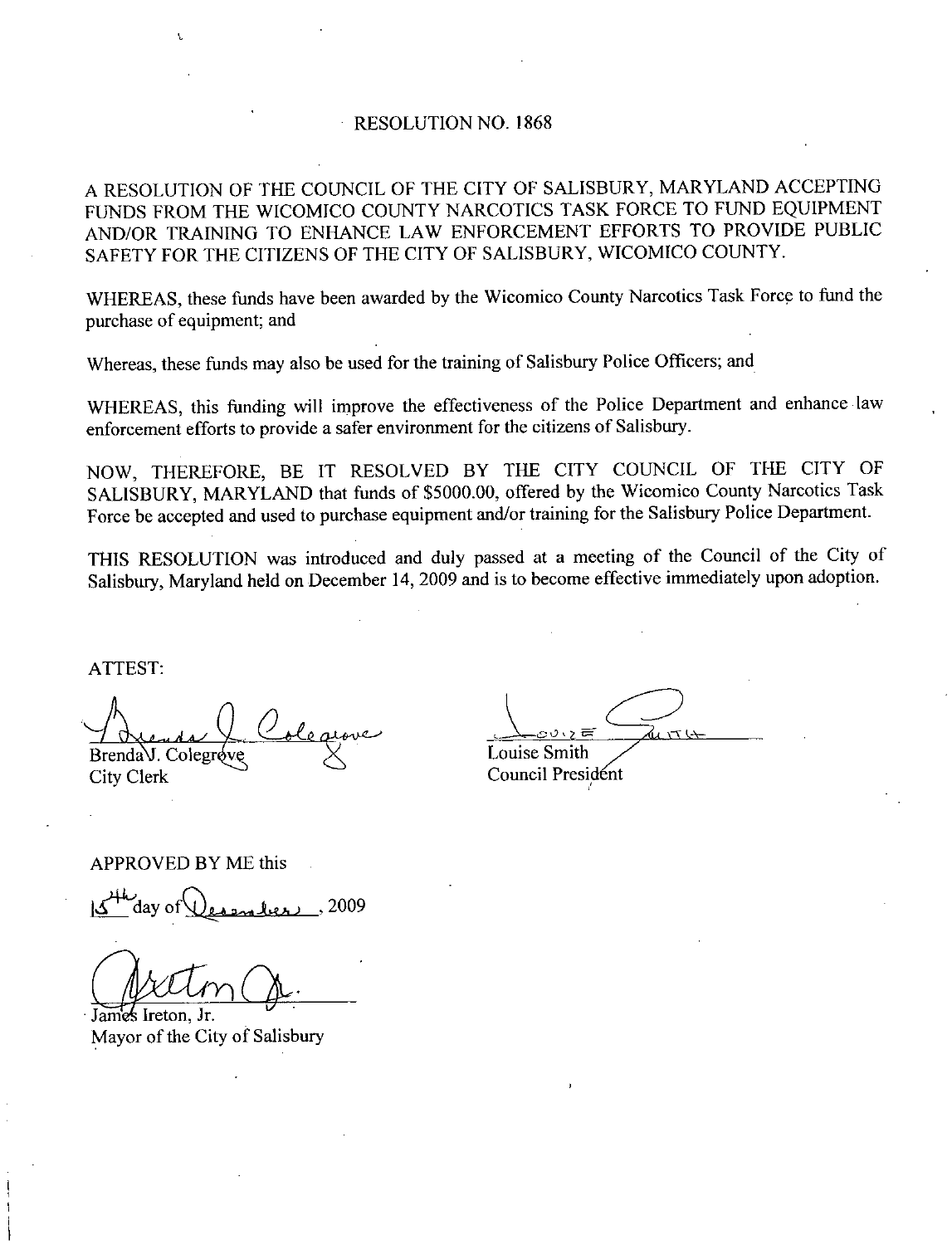## RESOLUTION NO. 1868

<sup>A</sup> RESOLUTION OF THE COUNCIL OF THECTY OF SALISBURY MARYLAND ACCEPTING FUNDS FROM THE WICOMICO COUNTY NARCOTICS TASK FORCE TO FUND EQUIPMENT AND OR TRAINING TO ENHANCE LAW ENFORCEMENT EFFORTS TO PROVIDE PUBLIC SAFETY FOR THE CITIZENS OF THE CITY OF SALISBURY, WICOMICO COUNTY.

WHEREAS, these funds have been awarded by the Wicomico County Narcotics Task Force to fund the purchase of equipment; and

Whereas, these funds may also be used for the training of Salisbury Police Officers; and

WHEREAS, this funding will improve the effectiveness of the Police Department and enhance law enforcement efforts to provide asafer environment for the citizens of Salisbury

NOW, THEREFORE, BE IT RESOLVED BY THE CITY COUNCIL OF THE CITY OF SALISBURY, MARYLAND that funds of \$5000.00, offered by the Wicomico County Narcotics Task SALISBURY, MARYLAND that funds of \$5000.00, offered by the Wicomico County Narcotics Task<br>Force be accepted and used to purchase equipment and/or training for the Salisbury Police Department.

THIS RESOLUTION was introduced and duly passed at <sup>a</sup> meeting of the Council of the City of Salisbury, Maryland held on December 14, 2009 and is to become effective immediately upon adoption.

ATTEST

t

 $b^{\nu}$  $Brenda$ V. Colegr $6$ ve City Clerk

 $\sum_{k \in \mathcal{I}}$ Louise Smith Council President

APPROVED BY ME this<br>المطلس Aday of مطلس المعلم 2009

 $\frac{1}{2}$ 

s Ireton, Jr. Mayor of the City of Salisbury